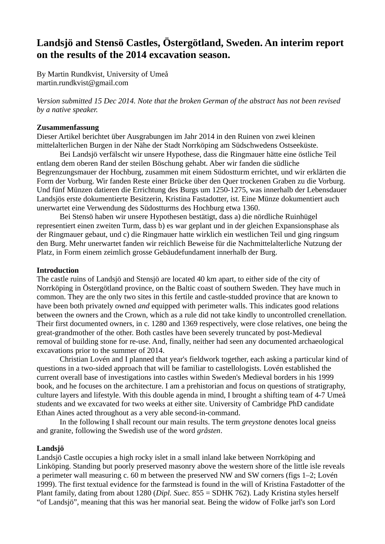# **Landsjö and Stensö Castles, Östergötland, Sweden. An interim report on the results of the 2014 excavation season.**

By Martin Rundkvist, University of Umeå martin.rundkvist@gmail.com

*Version submitted 15 Dec 2014. Note that the broken German of the abstract has not been revised by a native speaker.*

# **Zusammenfassung**

Dieser Artikel berichtet über Ausgrabungen im Jahr 2014 in den Ruinen von zwei kleinen mittelalterlichen Burgen in der Nähe der Stadt Norrköping am Südschwedens Ostseeküste.

Bei Landsjö verfälscht wir unsere Hypothese, dass die Ringmauer hätte eine östliche Teil entlang dem oberen Rand der steilen Böschung gehabt. Aber wir fanden die südliche Begrenzungsmauer der Hochburg, zusammen mit einem Südostturm errichtet, und wir erklärten die Form der Vorburg. Wir fanden Reste einer Brücke über den Quer trockenen Graben zu die Vorburg. Und fünf Münzen datieren die Errichtung des Burgs um 1250-1275, was innerhalb der Lebensdauer Landsjös erste dokumentierte Besitzerin, Kristina Fastadotter, ist. Eine Münze dokumentiert auch unerwartet eine Verwendung des Südostturms des Hochburg etwa 1360.

Bei Stensö haben wir unsere Hypothesen bestätigt, dass a) die nördliche Ruinhügel representiert einen zweiten Turm, dass b) es war geplant und in der gleichen Expansionsphase als der Ringmauer gebaut, und c) die Ringmauer hatte wirklich ein westlichen Teil und ging ringsum den Burg. Mehr unerwartet fanden wir reichlich Beweise für die Nachmittelalterliche Nutzung der Platz, in Form einem zeimlich grosse Gebäudefundament innerhalb der Burg.

# **Introduction**

The castle ruins of Landsjö and Stensjö are located 40 km apart, to either side of the city of Norrköping in Östergötland province, on the Baltic coast of southern Sweden. They have much in common. They are the only two sites in this fertile and castle-studded province that are known to have been both privately owned *and* equipped with perimeter walls. This indicates good relations between the owners and the Crown, which as a rule did not take kindly to uncontrolled crenellation. Their first documented owners, in c. 1280 and 1369 respectively, were close relatives, one being the great-grandmother of the other. Both castles have been severely truncated by post-Medieval removal of building stone for re-use. And, finally, neither had seen any documented archaeological excavations prior to the summer of 2014.

Christian Lovén and I planned that year's fieldwork together, each asking a particular kind of questions in a two-sided approach that will be familiar to castellologists. Lovén established the current overall base of investigations into castles within Sweden's Medieval borders in his 1999 book, and he focuses on the architecture. I am a prehistorian and focus on questions of stratigraphy, culture layers and lifestyle. With this double agenda in mind, I brought a shifting team of 4-7 Umeå students and we excavated for two weeks at either site. University of Cambridge PhD candidate Ethan Aines acted throughout as a very able second-in-command.

In the following I shall recount our main results. The term *greystone* denotes local gneiss and granite, following the Swedish use of the word *gråsten*.

# **Landsjö**

Landsjö Castle occupies a high rocky islet in a small inland lake between Norrköping and Linköping. Standing but poorly preserved masonry above the western shore of the little isle reveals a perimeter wall measuring c. 60 m between the preserved NW and SW corners (figs 1–2; Lovén 1999). The first textual evidence for the farmstead is found in the will of Kristina Fastadotter of the Plant family, dating from about 1280 (*Dipl. Suec.* 855 = SDHK 762). Lady Kristina styles herself "of Landsjö", meaning that this was her manorial seat. Being the widow of Folke jarl's son Lord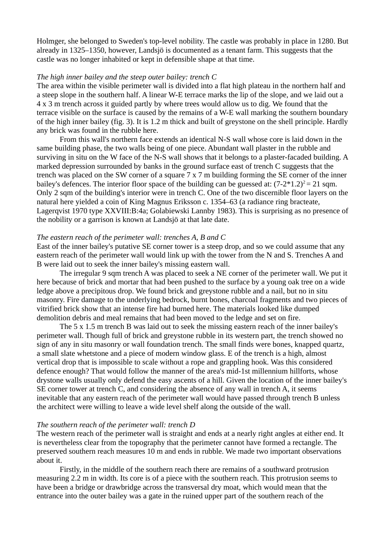Holmger, she belonged to Sweden's top-level nobility. The castle was probably in place in 1280. But already in 1325–1350, however, Landsjö is documented as a tenant farm. This suggests that the castle was no longer inhabited or kept in defensible shape at that time.

## *The high inner bailey and the steep outer bailey: trench C*

The area within the visible perimeter wall is divided into a flat high plateau in the northern half and a steep slope in the southern half. A linear W-E terrace marks the lip of the slope, and we laid out a 4 x 3 m trench across it guided partly by where trees would allow us to dig. We found that the terrace visible on the surface is caused by the remains of a W-E wall marking the southern boundary of the high inner bailey (fig. 3). It is 1.2 m thick and built of greystone on the shell principle. Hardly any brick was found in the rubble here.

From this wall's northern face extends an identical N-S wall whose core is laid down in the same building phase, the two walls being of one piece. Abundant wall plaster in the rubble and surviving in situ on the W face of the N-S wall shows that it belongs to a plaster-facaded building. A marked depression surrounded by banks in the ground surface east of trench C suggests that the trench was placed on the SW corner of a square 7 x 7 m building forming the SE corner of the inner bailey's defences. The interior floor space of the building can be guessed at:  $(7-2*1.2)^2 = 21$  sqm. Only 2 sqm of the building's interior were in trench C. One of the two discernible floor layers on the natural here yielded a coin of King Magnus Eriksson c. 1354–63 (a radiance ring bracteate, Lagerqvist 1970 type XXVIII:B:4a; Golabiewski Lannby 1983). This is surprising as no presence of the nobility or a garrison is known at Landsjö at that late date.

#### *The eastern reach of the perimeter wall: trenches A, B and C*

East of the inner bailey's putative SE corner tower is a steep drop, and so we could assume that any eastern reach of the perimeter wall would link up with the tower from the N and S. Trenches A and B were laid out to seek the inner bailey's missing eastern wall.

The irregular 9 sqm trench A was placed to seek a NE corner of the perimeter wall. We put it here because of brick and mortar that had been pushed to the surface by a young oak tree on a wide ledge above a precipitous drop. We found brick and greystone rubble and a nail, but no in situ masonry. Fire damage to the underlying bedrock, burnt bones, charcoal fragments and two pieces of vitrified brick show that an intense fire had burned here. The materials looked like dumped demolition debris and meal remains that had been moved to the ledge and set on fire.

The 5 x 1.5 m trench B was laid out to seek the missing eastern reach of the inner bailey's perimeter wall. Though full of brick and greystone rubble in its western part, the trench showed no sign of any in situ masonry or wall foundation trench. The small finds were bones, knapped quartz, a small slate whetstone and a piece of modern window glass. E of the trench is a high, almost vertical drop that is impossible to scale without a rope and grappling hook. Was this considered defence enough? That would follow the manner of the area's mid-1st millennium hillforts, whose drystone walls usually only defend the easy ascents of a hill. Given the location of the inner bailey's SE corner tower at trench C, and considering the absence of any wall in trench A, it seems inevitable that any eastern reach of the perimeter wall would have passed through trench B unless the architect were willing to leave a wide level shelf along the outside of the wall.

## *The southern reach of the perimeter wall: trench D*

The western reach of the perimeter wall is straight and ends at a nearly right angles at either end. It is nevertheless clear from the topography that the perimeter cannot have formed a rectangle. The preserved southern reach measures 10 m and ends in rubble. We made two important observations about it.

Firstly, in the middle of the southern reach there are remains of a southward protrusion measuring 2.2 m in width. Its core is of a piece with the southern reach. This protrusion seems to have been a bridge or drawbridge across the transversal dry moat, which would mean that the entrance into the outer bailey was a gate in the ruined upper part of the southern reach of the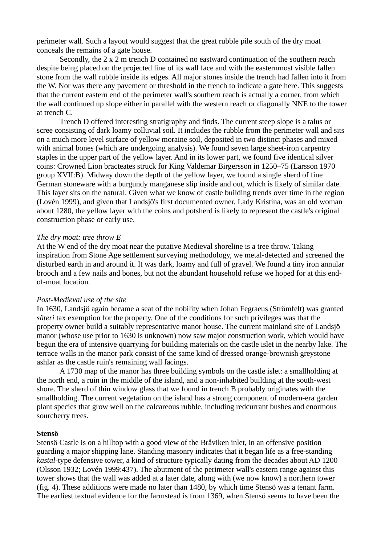perimeter wall. Such a layout would suggest that the great rubble pile south of the dry moat conceals the remains of a gate house.

Secondly, the 2 x 2 m trench D contained no eastward continuation of the southern reach despite being placed on the projected line of its wall face and with the easternmost visible fallen stone from the wall rubble inside its edges. All major stones inside the trench had fallen into it from the W. Nor was there any pavement or threshold in the trench to indicate a gate here. This suggests that the current eastern end of the perimeter wall's southern reach is actually a corner, from which the wall continued up slope either in parallel with the western reach or diagonally NNE to the tower at trench C.

Trench D offered interesting stratigraphy and finds. The current steep slope is a talus or scree consisting of dark loamy colluvial soil. It includes the rubble from the perimeter wall and sits on a much more level surface of yellow moraine soil, deposited in two distinct phases and mixed with animal bones (which are undergoing analysis). We found seven large sheet-iron carpentry staples in the upper part of the yellow layer. And in its lower part, we found five identical silver coins: Crowned Lion bracteates struck for King Valdemar Birgersson in 1250–75 (Larsson 1970 group XVII:B). Midway down the depth of the yellow layer, we found a single sherd of fine German stoneware with a burgundy manganese slip inside and out, which is likely of similar date. This layer sits on the natural. Given what we know of castle building trends over time in the region (Lovén 1999), and given that Landsjö's first documented owner, Lady Kristina, was an old woman about 1280, the yellow layer with the coins and potsherd is likely to represent the castle's original construction phase or early use.

# *The dry moat: tree throw E*

At the W end of the dry moat near the putative Medieval shoreline is a tree throw. Taking inspiration from Stone Age settlement surveying methodology, we metal-detected and screened the disturbed earth in and around it. It was dark, loamy and full of gravel. We found a tiny iron annular brooch and a few nails and bones, but not the abundant household refuse we hoped for at this endof-moat location.

#### *Post-Medieval use of the site*

In 1630, Landsjö again became a seat of the nobility when Johan Fegraeus (Strömfelt) was granted *säteri* tax exemption for the property. One of the conditions for such privileges was that the property owner build a suitably representative manor house. The current mainland site of Landsjö manor (whose use prior to 1630 is unknown) now saw major construction work, which would have begun the era of intensive quarrying for building materials on the castle islet in the nearby lake. The terrace walls in the manor park consist of the same kind of dressed orange-brownish greystone ashlar as the castle ruin's remaining wall facings.

A 1730 map of the manor has three building symbols on the castle islet: a smallholding at the north end, a ruin in the middle of the island, and a non-inhabited building at the south-west shore. The sherd of thin window glass that we found in trench B probably originates with the smallholding. The current vegetation on the island has a strong component of modern-era garden plant species that grow well on the calcareous rubble, including redcurrant bushes and enormous sourcherry trees.

#### **Stensö**

Stensö Castle is on a hilltop with a good view of the Bråviken inlet, in an offensive position guarding a major shipping lane. Standing masonry indicates that it began life as a free-standing *kastal*-type defensive tower, a kind of structure typically dating from the decades about AD 1200 (Olsson 1932; Lovén 1999:437). The abutment of the perimeter wall's eastern range against this tower shows that the wall was added at a later date, along with (we now know) a northern tower (fig. 4). These additions were made no later than 1480, by which time Stensö was a tenant farm. The earliest textual evidence for the farmstead is from 1369, when Stensö seems to have been the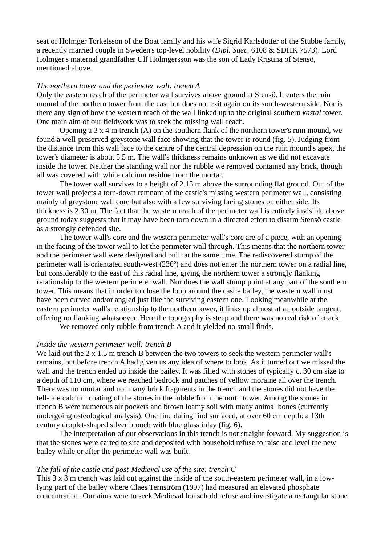seat of Holmger Torkelsson of the Boat family and his wife Sigrid Karlsdotter of the Stubbe family, a recently married couple in Sweden's top-level nobility (*Dipl. Suec.* 6108 & SDHK 7573). Lord Holmger's maternal grandfather Ulf Holmgersson was the son of Lady Kristina of Stensö, mentioned above.

#### *The northern tower and the perimeter wall: trench A*

Only the eastern reach of the perimeter wall survives above ground at Stensö. It enters the ruin mound of the northern tower from the east but does not exit again on its south-western side. Nor is there any sign of how the western reach of the wall linked up to the original southern *kastal* tower. One main aim of our fieldwork was to seek the missing wall reach.

Opening a 3 x 4 m trench (A) on the southern flank of the northern tower's ruin mound, we found a well-preserved greystone wall face showing that the tower is round (fig. 5). Judging from the distance from this wall face to the centre of the central depression on the ruin mound's apex, the tower's diameter is about 5.5 m. The wall's thickness remains unknown as we did not excavate inside the tower. Neither the standing wall nor the rubble we removed contained any brick, though all was covered with white calcium residue from the mortar.

The tower wall survives to a height of 2.15 m above the surrounding flat ground. Out of the tower wall projects a torn-down remnant of the castle's missing western perimeter wall, consisting mainly of greystone wall core but also with a few surviving facing stones on either side. Its thickness is 2.30 m. The fact that the western reach of the perimeter wall is entirely invisible above ground today suggests that it may have been torn down in a directed effort to disarm Stensö castle as a strongly defended site.

The tower wall's core and the western perimeter wall's core are of a piece, with an opening in the facing of the tower wall to let the perimeter wall through. This means that the northern tower and the perimeter wall were designed and built at the same time. The rediscovered stump of the perimeter wall is orientated south-west (236º) and does not enter the northern tower on a radial line, but considerably to the east of this radial line, giving the northern tower a strongly flanking relationship to the western perimeter wall. Nor does the wall stump point at any part of the southern tower. This means that in order to close the loop around the castle bailey, the western wall must have been curved and/or angled just like the surviving eastern one. Looking meanwhile at the eastern perimeter wall's relationship to the northern tower, it links up almost at an outside tangent, offering no flanking whatsoever. Here the topography is steep and there was no real risk of attack.

We removed only rubble from trench A and it yielded no small finds.

# *Inside the western perimeter wall: trench B*

We laid out the 2 x 1.5 m trench B between the two towers to seek the western perimeter wall's remains, but before trench A had given us any idea of where to look. As it turned out we missed the wall and the trench ended up inside the bailey. It was filled with stones of typically c. 30 cm size to a depth of 110 cm, where we reached bedrock and patches of yellow moraine all over the trench. There was no mortar and not many brick fragments in the trench and the stones did not have the tell-tale calcium coating of the stones in the rubble from the north tower. Among the stones in trench B were numerous air pockets and brown loamy soil with many animal bones (currently undergoing osteological analysis). One fine dating find surfaced, at over 60 cm depth: a 13th century droplet-shaped silver brooch with blue glass inlay (fig. 6).

The interpretation of our observations in this trench is not straight-forward. My suggestion is that the stones were carted to site and deposited with household refuse to raise and level the new bailey while or after the perimeter wall was built.

## *The fall of the castle and post-Medieval use of the site: trench C*

This 3 x 3 m trench was laid out against the inside of the south-eastern perimeter wall, in a lowlying part of the bailey where Claes Ternström (1997) had measured an elevated phosphate concentration. Our aims were to seek Medieval household refuse and investigate a rectangular stone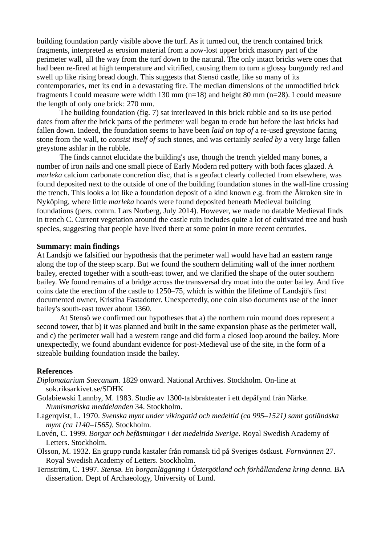building foundation partly visible above the turf. As it turned out, the trench contained brick fragments, interpreted as erosion material from a now-lost upper brick masonry part of the perimeter wall, all the way from the turf down to the natural. The only intact bricks were ones that had been re-fired at high temperature and vitrified, causing them to turn a glossy burgundy red and swell up like rising bread dough. This suggests that Stensö castle, like so many of its contemporaries, met its end in a devastating fire. The median dimensions of the unmodified brick fragments I could measure were width 130 mm (n=18) and height 80 mm (n=28). I could measure the length of only one brick: 270 mm.

The building foundation (fig. 7) sat interleaved in this brick rubble and so its use period dates from after the brick parts of the perimeter wall began to erode but before the last bricks had fallen down. Indeed, the foundation seems to have been *laid on top of* a re-used greystone facing stone from the wall, to *consist itself of* such stones, and was certainly *sealed by* a very large fallen greystone ashlar in the rubble.

The finds cannot elucidate the building's use, though the trench yielded many bones, a number of iron nails and one small piece of Early Modern red pottery with both faces glazed. A *marleka* calcium carbonate concretion disc, that is a geofact clearly collected from elsewhere, was found deposited next to the outside of one of the building foundation stones in the wall-line crossing the trench. This looks a lot like a foundation deposit of a kind known e.g. from the Åkroken site in Nyköping, where little *marleka* hoards were found deposited beneath Medieval building foundations (pers. comm. Lars Norberg, July 2014). However, we made no datable Medieval finds in trench C. Current vegetation around the castle ruin includes quite a lot of cultivated tree and bush species, suggesting that people have lived there at some point in more recent centuries.

# **Summary: main findings**

At Landsjö we falsified our hypothesis that the perimeter wall would have had an eastern range along the top of the steep scarp. But we found the southern delimiting wall of the inner northern bailey, erected together with a south-east tower, and we clarified the shape of the outer southern bailey. We found remains of a bridge across the transversal dry moat into the outer bailey. And five coins date the erection of the castle to 1250–75, which is within the lifetime of Landsjö's first documented owner, Kristina Fastadotter. Unexpectedly, one coin also documents use of the inner bailey's south-east tower about 1360.

At Stensö we confirmed our hypotheses that a) the northern ruin mound does represent a second tower, that b) it was planned and built in the same expansion phase as the perimeter wall, and c) the perimeter wall had a western range and did form a closed loop around the bailey. More unexpectedly, we found abundant evidence for post-Medieval use of the site, in the form of a sizeable building foundation inside the bailey.

# **References**

- *Diplomatarium Suecanum.* 1829 onward. National Archives. Stockholm. On-line at sok.riksarkivet.se/SDHK
- Golabiewski Lannby, M. 1983. Studie av 1300-talsbrakteater i ett depåfynd från Närke. *Numismatiska meddelanden* 34. Stockholm.
- Lagerqvist, L. 1970. *Svenska mynt under vikingatid och medeltid (ca 995–1521) samt gotländska mynt (ca 1140–1565).* Stockholm.
- Lovén, C. 1999. *Borgar och befästningar i det medeltida Sverige.* Royal Swedish Academy of Letters. Stockholm.
- Olsson, M. 1932. En grupp runda kastaler från romansk tid på Sveriges östkust. *Fornvännen* 27. Royal Swedish Academy of Letters. Stockholm.
- Ternström, C. 1997. *Stensø. En borganläggning i Östergötland och förhållandena kring denna.* BA dissertation. Dept of Archaeology, University of Lund.